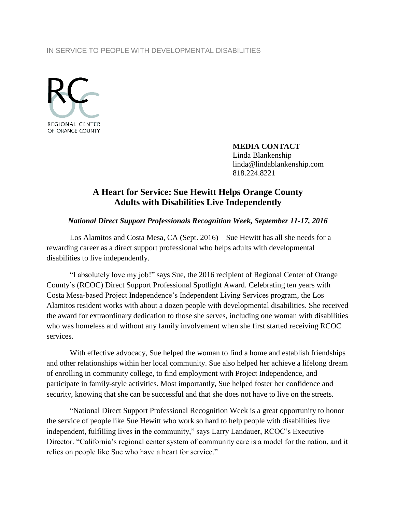#### IN SERVICE TO PEOPLE WITH DEVELOPMENTAL DISABILITIES



**MEDIA CONTACT** Linda Blankenship

linda@lindablankenship.com 818.224.8221

# **A Heart for Service: Sue Hewitt Helps Orange County Adults with Disabilities Live Independently**

### *National Direct Support Professionals Recognition Week, September 11-17, 2016*

Los Alamitos and Costa Mesa, CA (Sept. 2016) – Sue Hewitt has all she needs for a rewarding career as a direct support professional who helps adults with developmental disabilities to live independently.

"I absolutely love my job!" says Sue, the 2016 recipient of Regional Center of Orange County's (RCOC) Direct Support Professional Spotlight Award. Celebrating ten years with Costa Mesa-based Project Independence's Independent Living Services program, the Los Alamitos resident works with about a dozen people with developmental disabilities. She received the award for extraordinary dedication to those she serves, including one woman with disabilities who was homeless and without any family involvement when she first started receiving RCOC services.

With effective advocacy, Sue helped the woman to find a home and establish friendships and other relationships within her local community. Sue also helped her achieve a lifelong dream of enrolling in community college, to find employment with Project Independence, and participate in family-style activities. Most importantly, Sue helped foster her confidence and security, knowing that she can be successful and that she does not have to live on the streets.

"National Direct Support Professional Recognition Week is a great opportunity to honor the service of people like Sue Hewitt who work so hard to help people with disabilities live independent, fulfilling lives in the community," says Larry Landauer, RCOC's Executive Director. "California's regional center system of community care is a model for the nation, and it relies on people like Sue who have a heart for service."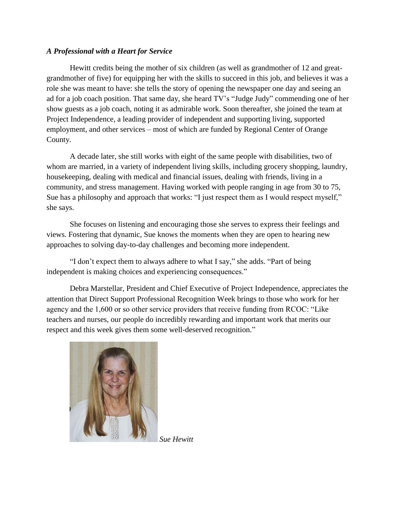### *A Professional with a Heart for Service*

Hewitt credits being the mother of six children (as well as grandmother of 12 and greatgrandmother of five) for equipping her with the skills to succeed in this job, and believes it was a role she was meant to have: she tells the story of opening the newspaper one day and seeing an ad for a job coach position. That same day, she heard TV's "Judge Judy" commending one of her show guests as a job coach, noting it as admirable work. Soon thereafter, she joined the team at Project Independence, a leading provider of independent and supporting living, supported employment, and other services – most of which are funded by Regional Center of Orange County.

A decade later, she still works with eight of the same people with disabilities, two of whom are married, in a variety of independent living skills, including grocery shopping, laundry, housekeeping, dealing with medical and financial issues, dealing with friends, living in a community, and stress management. Having worked with people ranging in age from 30 to 75, Sue has a philosophy and approach that works: "I just respect them as I would respect myself," she says.

She focuses on listening and encouraging those she serves to express their feelings and views. Fostering that dynamic, Sue knows the moments when they are open to hearing new approaches to solving day-to-day challenges and becoming more independent.

"I don't expect them to always adhere to what I say," she adds. "Part of being independent is making choices and experiencing consequences."

Debra Marstellar, President and Chief Executive of Project Independence, appreciates the attention that Direct Support Professional Recognition Week brings to those who work for her agency and the 1,600 or so other service providers that receive funding from RCOC: "Like teachers and nurses, our people do incredibly rewarding and important work that merits our respect and this week gives them some well-deserved recognition."



*Sue Hewitt*